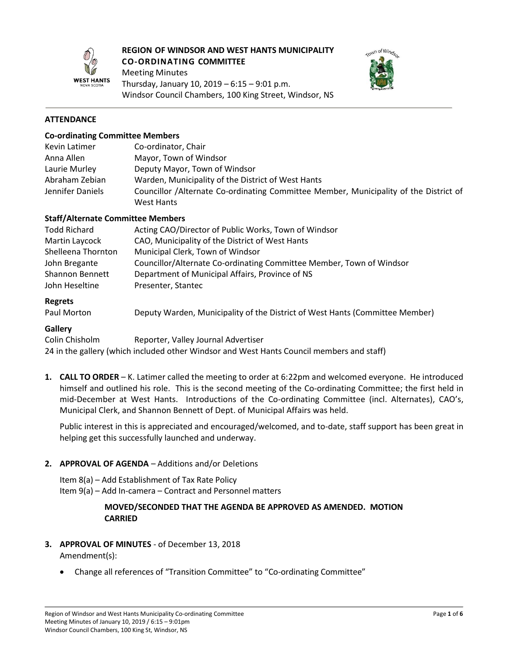

# **REGION OF WINDSOR AND WEST HANTS MUNICIPALITY CO-ORDINATING COMMITTEE**

Meeting Minutes Thursday, January 10, 2019 – 6:15 – 9:01 p.m. Windsor Council Chambers, 100 King Street, Windsor, NS



## **ATTENDANCE**

#### **Co-ordinating Committee Members**

| Kevin Latimer    | Co-ordinator, Chair                                                                   |  |  |
|------------------|---------------------------------------------------------------------------------------|--|--|
| Anna Allen       | Mayor, Town of Windsor                                                                |  |  |
| Laurie Murley    | Deputy Mayor, Town of Windsor                                                         |  |  |
| Abraham Zebian   | Warden, Municipality of the District of West Hants                                    |  |  |
| Jennifer Daniels | Councillor /Alternate Co-ordinating Committee Member, Municipality of the District of |  |  |
|                  | West Hants                                                                            |  |  |

## **Staff/Alternate Committee Members**

| <b>Todd Richard</b>    | Acting CAO/Director of Public Works, Town of Windsor                 |
|------------------------|----------------------------------------------------------------------|
| Martin Laycock         | CAO, Municipality of the District of West Hants                      |
| Shelleena Thornton     | Municipal Clerk, Town of Windsor                                     |
| John Bregante          | Councillor/Alternate Co-ordinating Committee Member, Town of Windsor |
| <b>Shannon Bennett</b> | Department of Municipal Affairs, Province of NS                      |
| John Heseltine         | Presenter, Stantec                                                   |
|                        |                                                                      |

## **Regrets**

Paul Morton Deputy Warden, Municipality of the District of West Hants (Committee Member)

#### **Gallery**

Colin Chisholm Reporter, Valley Journal Advertiser 24 in the gallery (which included other Windsor and West Hants Council members and staff)

**1. CALL TO ORDER** – K. Latimer called the meeting to order at 6:22pm and welcomed everyone. He introduced himself and outlined his role. This is the second meeting of the Co-ordinating Committee; the first held in mid-December at West Hants. Introductions of the Co-ordinating Committee (incl. Alternates), CAO's, Municipal Clerk, and Shannon Bennett of Dept. of Municipal Affairs was held.

Public interest in this is appreciated and encouraged/welcomed, and to-date, staff support has been great in helping get this successfully launched and underway.

## **2. APPROVAL OF AGENDA** – Additions and/or Deletions

Item 8(a) – Add Establishment of Tax Rate Policy

Item 9(a) – Add In-camera – Contract and Personnel matters

## **MOVED/SECONDED THAT THE AGENDA BE APPROVED AS AMENDED. MOTION CARRIED**

- **3. APPROVAL OF MINUTES**  of December 13, 2018 Amendment(s):
	- Change all references of "Transition Committee" to "Co-ordinating Committee"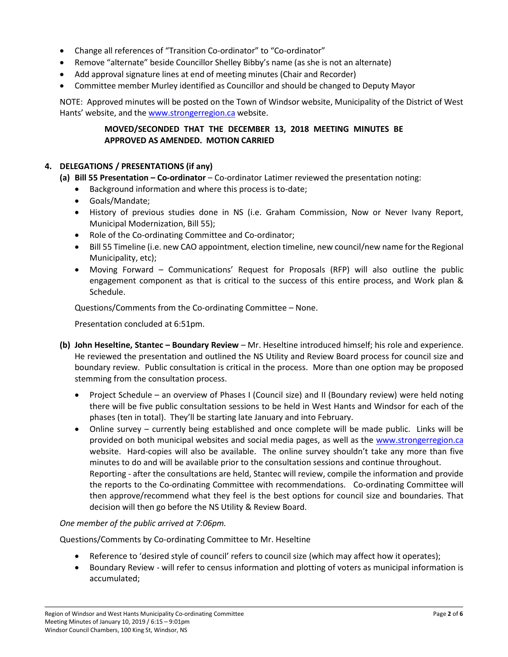- Change all references of "Transition Co-ordinator" to "Co-ordinator"
- Remove "alternate" beside Councillor Shelley Bibby's name (as she is not an alternate)
- Add approval signature lines at end of meeting minutes (Chair and Recorder)
- Committee member Murley identified as Councillor and should be changed to Deputy Mayor

NOTE: Approved minutes will be posted on the Town of Windsor website, Municipality of the District of West Hants' website, and the [www.strongerregion.ca](http://www.strongerregion.ca/) website.

## **MOVED/SECONDED THAT THE DECEMBER 13, 2018 MEETING MINUTES BE APPROVED AS AMENDED. MOTION CARRIED**

## **4. DELEGATIONS / PRESENTATIONS (if any)**

- **(a) Bill 55 Presentation – Co-ordinator** Co-ordinator Latimer reviewed the presentation noting:
	- Background information and where this process is to-date;
	- Goals/Mandate;
	- History of previous studies done in NS (i.e. Graham Commission, Now or Never Ivany Report, Municipal Modernization, Bill 55);
	- Role of the Co-ordinating Committee and Co-ordinator;
	- Bill 55 Timeline (i.e. new CAO appointment, election timeline, new council/new name for the Regional Municipality, etc);
	- Moving Forward Communications' Request for Proposals (RFP) will also outline the public engagement component as that is critical to the success of this entire process, and Work plan & Schedule.

Questions/Comments from the Co-ordinating Committee – None.

Presentation concluded at 6:51pm.

- **(b) John Heseltine, Stantec – Boundary Review** Mr. Heseltine introduced himself; his role and experience. He reviewed the presentation and outlined the NS Utility and Review Board process for council size and boundary review. Public consultation is critical in the process. More than one option may be proposed stemming from the consultation process.
	- Project Schedule an overview of Phases I (Council size) and II (Boundary review) were held noting there will be five public consultation sessions to be held in West Hants and Windsor for each of the phases (ten in total). They'll be starting late January and into February.
	- Online survey currently being established and once complete will be made public. Links will be provided on both municipal websites and social media pages, as well as the [www.strongerregion.ca](http://www.strongerregion.ca/) website. Hard-copies will also be available. The online survey shouldn't take any more than five minutes to do and will be available prior to the consultation sessions and continue throughout. Reporting - after the consultations are held, Stantec will review, compile the information and provide the reports to the Co-ordinating Committee with recommendations. Co-ordinating Committee will then approve/recommend what they feel is the best options for council size and boundaries. That decision will then go before the NS Utility & Review Board.

## *One member of the public arrived at 7:06pm.*

Questions/Comments by Co-ordinating Committee to Mr. Heseltine

- Reference to 'desired style of council' refers to council size (which may affect how it operates);
- Boundary Review will refer to census information and plotting of voters as municipal information is accumulated;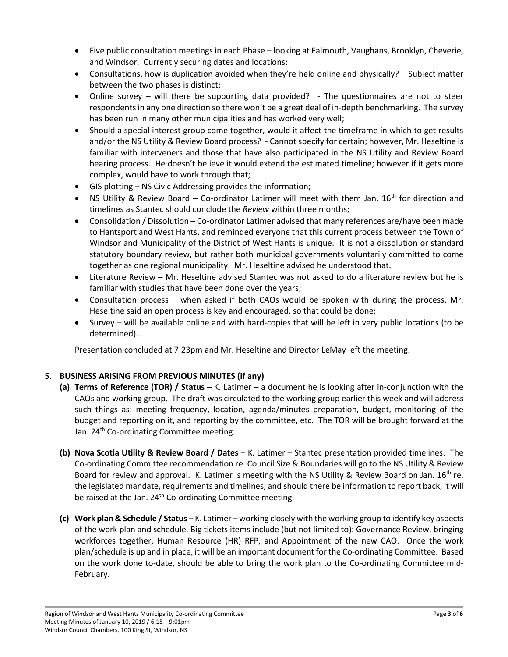- Five public consultation meetings in each Phase looking at Falmouth, Vaughans, Brooklyn, Cheverie, and Windsor. Currently securing dates and locations;
- Consultations, how is duplication avoided when they're held online and physically? Subject matter between the two phases is distinct;
- Online survey will there be supporting data provided? The questionnaires are not to steer respondents in any one direction so there won't be a great deal of in-depth benchmarking. The survey has been run in many other municipalities and has worked very well;
- Should a special interest group come together, would it affect the timeframe in which to get results and/or the NS Utility & Review Board process? - Cannot specify for certain; however, Mr. Heseltine is familiar with interveners and those that have also participated in the NS Utility and Review Board hearing process. He doesn't believe it would extend the estimated timeline; however if it gets more complex, would have to work through that;
- GIS plotting NS Civic Addressing provides the information;
- NS Utility & Review Board Co-ordinator Latimer will meet with them Jan.  $16<sup>th</sup>$  for direction and timelines as Stantec should conclude the *Review* within three months;
- Consolidation / Dissolution Co-ordinator Latimer advised that many references are/have been made to Hantsport and West Hants, and reminded everyone that this current process between the Town of Windsor and Municipality of the District of West Hants is unique. It is not a dissolution or standard statutory boundary review, but rather both municipal governments voluntarily committed to come together as one regional municipality. Mr. Heseltine advised he understood that.
- Literature Review Mr. Heseltine advised Stantec was not asked to do a literature review but he is familiar with studies that have been done over the years;
- Consultation process when asked if both CAOs would be spoken with during the process, Mr. Heseltine said an open process is key and encouraged, so that could be done;
- Survey will be available online and with hard-copies that will be left in very public locations (to be determined).

Presentation concluded at 7:23pm and Mr. Heseltine and Director LeMay left the meeting.

## **5. BUSINESS ARISING FROM PREVIOUS MINUTES (if any)**

- **(a) Terms of Reference (TOR) / Status** K. Latimer a document he is looking after in-conjunction with the CAOs and working group. The draft was circulated to the working group earlier this week and will address such things as: meeting frequency, location, agenda/minutes preparation, budget, monitoring of the budget and reporting on it, and reporting by the committee, etc. The TOR will be brought forward at the Jan. 24<sup>th</sup> Co-ordinating Committee meeting.
- **(b) Nova Scotia Utility & Review Board / Dates** K. Latimer Stantec presentation provided timelines. The Co-ordinating Committee recommendation re. Council Size & Boundaries will go to the NS Utility & Review Board for review and approval. K. Latimer is meeting with the NS Utility & Review Board on Jan.  $16^{th}$  re. the legislated mandate, requirements and timelines, and should there be information to report back, it will be raised at the Jan. 24<sup>th</sup> Co-ordinating Committee meeting.
- **(c) Work plan & Schedule / Status** K. Latimer working closely with the working group to identify key aspects of the work plan and schedule. Big tickets items include (but not limited to): Governance Review, bringing workforces together, Human Resource (HR) RFP, and Appointment of the new CAO. Once the work plan/schedule is up and in place, it will be an important document for the Co-ordinating Committee. Based on the work done to-date, should be able to bring the work plan to the Co-ordinating Committee mid-February.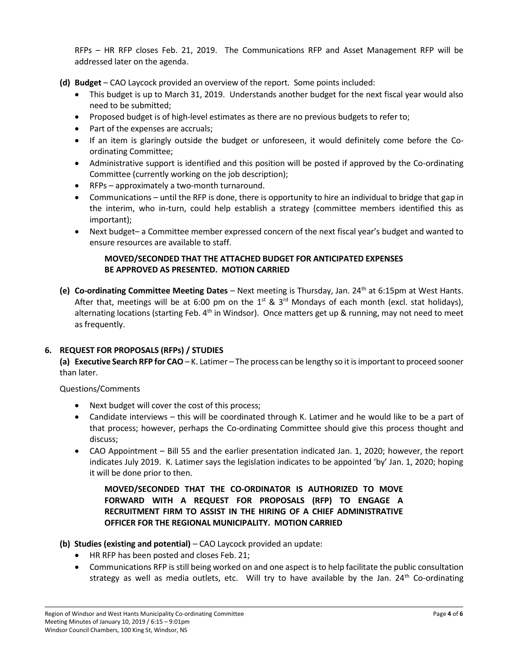RFPs – HR RFP closes Feb. 21, 2019. The Communications RFP and Asset Management RFP will be addressed later on the agenda.

**(d) Budget** – CAO Laycock provided an overview of the report. Some points included:

- This budget is up to March 31, 2019. Understands another budget for the next fiscal year would also need to be submitted;
- Proposed budget is of high-level estimates as there are no previous budgets to refer to;
- Part of the expenses are accruals;
- If an item is glaringly outside the budget or unforeseen, it would definitely come before the Coordinating Committee;
- Administrative support is identified and this position will be posted if approved by the Co-ordinating Committee (currently working on the job description);
- RFPs approximately a two-month turnaround.
- Communications until the RFP is done, there is opportunity to hire an individual to bridge that gap in the interim, who in-turn, could help establish a strategy (committee members identified this as important);
- Next budget– a Committee member expressed concern of the next fiscal year's budget and wanted to ensure resources are available to staff.

## **MOVED/SECONDED THAT THE ATTACHED BUDGET FOR ANTICIPATED EXPENSES BE APPROVED AS PRESENTED. MOTION CARRIED**

**(e) Co-ordinating Committee Meeting Dates** – Next meeting is Thursday, Jan. 24th at 6:15pm at West Hants. After that, meetings will be at 6:00 pm on the  $1^{st}$  &  $3^{rd}$  Mondays of each month (excl. stat holidays), alternating locations (starting Feb.  $4<sup>th</sup>$  in Windsor). Once matters get up & running, may not need to meet as frequently.

## **6. REQUEST FOR PROPOSALS (RFPs) / STUDIES**

**(a) Executive Search RFP for CAO**– K. Latimer – The process can be lengthy so it is important to proceed sooner than later.

Questions/Comments

- Next budget will cover the cost of this process;
- Candidate interviews this will be coordinated through K. Latimer and he would like to be a part of that process; however, perhaps the Co-ordinating Committee should give this process thought and discuss;
- CAO Appointment Bill 55 and the earlier presentation indicated Jan. 1, 2020; however, the report indicates July 2019. K. Latimer says the legislation indicates to be appointed 'by' Jan. 1, 2020; hoping it will be done prior to then.

**MOVED/SECONDED THAT THE CO-ORDINATOR IS AUTHORIZED TO MOVE FORWARD WITH A REQUEST FOR PROPOSALS (RFP) TO ENGAGE A RECRUITMENT FIRM TO ASSIST IN THE HIRING OF A CHIEF ADMINISTRATIVE OFFICER FOR THE REGIONAL MUNICIPALITY. MOTION CARRIED**

- **(b) Studies (existing and potential)** CAO Laycock provided an update:
	- HR RFP has been posted and closes Feb. 21;
	- Communications RFP is still being worked on and one aspect is to help facilitate the public consultation strategy as well as media outlets, etc. Will try to have available by the Jan. 24<sup>th</sup> Co-ordinating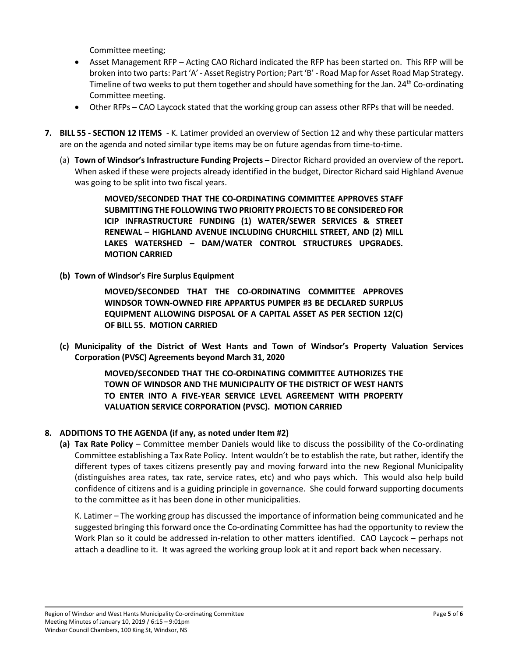Committee meeting;

- Asset Management RFP Acting CAO Richard indicated the RFP has been started on. This RFP will be broken into two parts: Part 'A' - Asset Registry Portion; Part 'B' - Road Map for Asset Road Map Strategy. Timeline of two weeks to put them together and should have something for the Jan. 24<sup>th</sup> Co-ordinating Committee meeting.
- Other RFPs CAO Laycock stated that the working group can assess other RFPs that will be needed.
- **7. BILL 55 - SECTION 12 ITEMS** K. Latimer provided an overview of Section 12 and why these particular matters are on the agenda and noted similar type items may be on future agendas from time-to-time.
	- (a) **Town of Windsor's Infrastructure Funding Projects** Director Richard provided an overview of the report**.**  When asked if these were projects already identified in the budget, Director Richard said Highland Avenue was going to be split into two fiscal years.

**MOVED/SECONDED THAT THE CO-ORDINATING COMMITTEE APPROVES STAFF SUBMITTINGTHE FOLLOWING TWO PRIORITY PROJECTS TO BE CONSIDERED FOR ICIP INFRASTRUCTURE FUNDING (1) WATER/SEWER SERVICES & STREET RENEWAL – HIGHLAND AVENUE INCLUDING CHURCHILL STREET, AND (2) MILL LAKES WATERSHED – DAM/WATER CONTROL STRUCTURES UPGRADES. MOTION CARRIED**

**(b) Town of Windsor's Fire Surplus Equipment**

**MOVED/SECONDED THAT THE CO-ORDINATING COMMITTEE APPROVES WINDSOR TOWN-OWNED FIRE APPARTUS PUMPER #3 BE DECLARED SURPLUS EQUIPMENT ALLOWING DISPOSAL OF A CAPITAL ASSET AS PER SECTION 12(C) OF BILL 55. MOTION CARRIED**

**(c) Municipality of the District of West Hants and Town of Windsor's Property Valuation Services Corporation (PVSC) Agreements beyond March 31, 2020**

> **MOVED/SECONDED THAT THE CO-ORDINATING COMMITTEE AUTHORIZES THE TOWN OF WINDSOR AND THE MUNICIPALITY OF THE DISTRICT OF WEST HANTS TO ENTER INTO A FIVE-YEAR SERVICE LEVEL AGREEMENT WITH PROPERTY VALUATION SERVICE CORPORATION (PVSC). MOTION CARRIED**

## **8. ADDITIONS TO THE AGENDA (if any, as noted under Item #2)**

**(a) Tax Rate Policy** – Committee member Daniels would like to discuss the possibility of the Co-ordinating Committee establishing a Tax Rate Policy. Intent wouldn't be to establish the rate, but rather, identify the different types of taxes citizens presently pay and moving forward into the new Regional Municipality (distinguishes area rates, tax rate, service rates, etc) and who pays which. This would also help build confidence of citizens and is a guiding principle in governance. She could forward supporting documents to the committee as it has been done in other municipalities.

K. Latimer – The working group has discussed the importance of information being communicated and he suggested bringing this forward once the Co-ordinating Committee has had the opportunity to review the Work Plan so it could be addressed in-relation to other matters identified. CAO Laycock – perhaps not attach a deadline to it. It was agreed the working group look at it and report back when necessary.